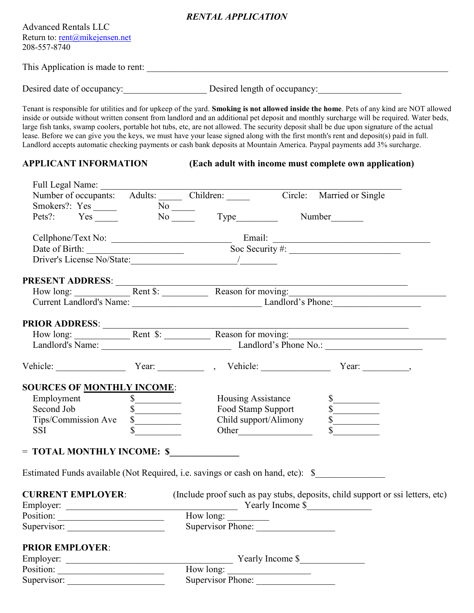### RENTAL APPLICATION

| <b>Advanced Rentals LLC</b>    |
|--------------------------------|
| Return to: rent@mikejensen.net |
| 208-557-8740                   |

This Application is made to rent: \_\_\_\_\_\_\_\_\_\_\_\_\_\_\_\_\_\_\_\_\_\_\_\_\_\_\_\_\_\_\_\_\_\_\_\_\_\_\_\_\_\_\_\_\_\_\_\_\_\_\_\_\_\_\_\_\_\_\_\_\_\_\_\_\_

Desired date of occupancy:\_\_\_\_\_\_\_\_\_\_\_\_\_\_\_\_\_\_ Desired length of occupancy:\_\_\_\_\_\_\_\_\_\_\_\_\_\_\_\_\_\_

Tenant is responsible for utilities and for upkeep of the yard. Smoking is not allowed inside the home. Pets of any kind are NOT allowed inside or outside without written consent from landlord and an additional pet deposit and monthly surcharge will be required. Water beds, large fish tanks, swamp coolers, portable hot tubs, etc, are not allowed. The security deposit shall be due upon signature of the actual lease. Before we can give you the keys, we must have your lease signed along with the first month's rent and deposit(s) paid in full. Landlord accepts automatic checking payments or cash bank deposits at Mountain America. Paypal payments add 3% surcharge.

#### APPLICANT INFORMATION (Each adult with income must complete own application)

| Full Legal Name:                                                                |                                                              |                             |                                |                                                                                                                                                                                                                                |
|---------------------------------------------------------------------------------|--------------------------------------------------------------|-----------------------------|--------------------------------|--------------------------------------------------------------------------------------------------------------------------------------------------------------------------------------------------------------------------------|
| Number of occupants: Adults: Children: Circle: Married or Single                |                                                              |                             |                                |                                                                                                                                                                                                                                |
|                                                                                 |                                                              |                             |                                |                                                                                                                                                                                                                                |
| Smokers?: Yes No Type Number Number                                             |                                                              |                             |                                |                                                                                                                                                                                                                                |
|                                                                                 |                                                              |                             |                                |                                                                                                                                                                                                                                |
|                                                                                 |                                                              |                             |                                |                                                                                                                                                                                                                                |
|                                                                                 |                                                              |                             |                                | Date of Birth: Soc Security #: Soc Security = Soc Security = Soc Security = Soc Security = Soc Security = Soc Security = Soc Security = Soc Security = Soc Security = Soc Security = Soc Security = Soc Security = Soc Securit |
|                                                                                 |                                                              |                             |                                | PRESENT ADDRESS:<br>How long: <u>Rent \$: Reason for moving:</u>                                                                                                                                                               |
|                                                                                 |                                                              |                             |                                |                                                                                                                                                                                                                                |
|                                                                                 |                                                              |                             |                                | Current Landlord's Name: Landlord's Phone: Landlord's Phone:                                                                                                                                                                   |
|                                                                                 |                                                              |                             |                                | <u> 1989 - Johann Johann Johann Johann Johann Johann Johann Johann Johann Johann Johann Johann Johann Johann Johann Joh</u>                                                                                                    |
|                                                                                 |                                                              |                             |                                | How long: <u>Rent \$: Reason for moving:</u>                                                                                                                                                                                   |
|                                                                                 | Landlord's Name: Landlord's Phone No.: Landlord's Phone No.: |                             |                                |                                                                                                                                                                                                                                |
|                                                                                 |                                                              |                             |                                | Vehicle: Year: Year: Year: Nehicle: Year: Year: Year: Year: Year: Nehicle: Year: Year: Nehicle: Nehicle: Nehicle: Nehicle: Nehicle: Nehicle: Nehicle: Nehicle: Nehicle: Nehicle: Nehicle: Nehicle: Nehicle: Nehicle: Nehicle:  |
|                                                                                 |                                                              |                             |                                |                                                                                                                                                                                                                                |
| <b>SOURCES OF MONTHLY INCOME:</b>                                               |                                                              |                             |                                |                                                                                                                                                                                                                                |
| Employment \$                                                                   |                                                              |                             | Housing Assistance             | $\frac{1}{\sqrt{2}}$                                                                                                                                                                                                           |
|                                                                                 | $\frac{\sqrt{2}}{2}$                                         |                             | Food Stamp Support             |                                                                                                                                                                                                                                |
| Tips/Commission Ave<br>SSI                                                      | s                                                            |                             | Child support/Alimony<br>Other | $\begin{array}{c c}\n\hline\n\text{S} & \text{S} & \text{S} & \text{S} \\ \hline\n\text{S} & \text{S} & \text{S} & \text{S} & \text{S} & \text{S} \\ \hline\n\end{array}$                                                      |
|                                                                                 |                                                              |                             |                                |                                                                                                                                                                                                                                |
| = TOTAL MONTHLY INCOME: \$                                                      |                                                              |                             |                                |                                                                                                                                                                                                                                |
| Estimated Funds available (Not Required, i.e. savings or cash on hand, etc): \$ |                                                              |                             |                                |                                                                                                                                                                                                                                |
|                                                                                 |                                                              |                             |                                | <b>CURRENT EMPLOYER:</b> (Include proof such as pay stubs, deposits, child support or ssi letters, etc)                                                                                                                        |
|                                                                                 |                                                              |                             |                                |                                                                                                                                                                                                                                |
|                                                                                 |                                                              | How long:                   |                                |                                                                                                                                                                                                                                |
|                                                                                 | Supervisor:                                                  |                             | Supervisor Phone:              |                                                                                                                                                                                                                                |
| <b>PRIOR EMPLOYER:</b>                                                          |                                                              |                             |                                |                                                                                                                                                                                                                                |
| Employer:                                                                       |                                                              | Yearly Income \$            |                                |                                                                                                                                                                                                                                |
| Position:                                                                       |                                                              |                             |                                |                                                                                                                                                                                                                                |
|                                                                                 |                                                              | How long: Supervisor Phone: |                                |                                                                                                                                                                                                                                |
|                                                                                 |                                                              |                             |                                |                                                                                                                                                                                                                                |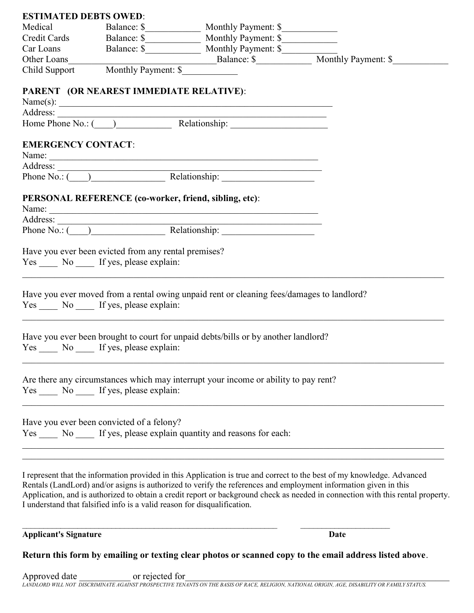| <b>ESTIMATED DEBTS OWED:</b> |                                                       |                                                                                                 |  |
|------------------------------|-------------------------------------------------------|-------------------------------------------------------------------------------------------------|--|
| Medical                      |                                                       |                                                                                                 |  |
|                              |                                                       |                                                                                                 |  |
|                              |                                                       |                                                                                                 |  |
|                              |                                                       |                                                                                                 |  |
|                              | Child Support Monthly Payment: \$                     |                                                                                                 |  |
|                              |                                                       |                                                                                                 |  |
|                              | PARENT (OR NEAREST IMMEDIATE RELATIVE):               |                                                                                                 |  |
|                              |                                                       |                                                                                                 |  |
|                              |                                                       |                                                                                                 |  |
|                              |                                                       |                                                                                                 |  |
| <b>EMERGENCY CONTACT:</b>    |                                                       |                                                                                                 |  |
|                              |                                                       |                                                                                                 |  |
|                              |                                                       |                                                                                                 |  |
|                              |                                                       | Phone No.: ( ) Relationship:                                                                    |  |
|                              |                                                       |                                                                                                 |  |
|                              | PERSONAL REFERENCE (co-worker, friend, sibling, etc): |                                                                                                 |  |
|                              |                                                       |                                                                                                 |  |
|                              |                                                       | Address: Mo.: ( and a Relationship: Mone No.: ( and a Relationship: Mone No.: ( and Apple 2014) |  |
|                              |                                                       |                                                                                                 |  |
|                              | Have you ever been evicted from any rental premises?  |                                                                                                 |  |
|                              | Yes ______ No ______ If yes, please explain:          |                                                                                                 |  |
|                              |                                                       |                                                                                                 |  |
|                              |                                                       | Have you ever moved from a rental owing unpaid rent or cleaning fees/damages to landlord?       |  |
|                              | Yes No If yes, please explain:                        |                                                                                                 |  |
|                              |                                                       |                                                                                                 |  |
|                              |                                                       |                                                                                                 |  |
|                              |                                                       | Have you ever been brought to court for unpaid debts/bills or by another landlord?              |  |
|                              | Yes No If yes, please explain:                        |                                                                                                 |  |
|                              |                                                       |                                                                                                 |  |
|                              |                                                       | Are there any circumstances which may interrupt your income or ability to pay rent?             |  |
|                              | Yes ______ No ______ If yes, please explain:          |                                                                                                 |  |
|                              |                                                       |                                                                                                 |  |
|                              | Have you ever been convicted of a felony?             |                                                                                                 |  |
|                              |                                                       | Yes No If yes, please explain quantity and reasons for each:                                    |  |
|                              |                                                       |                                                                                                 |  |
|                              |                                                       |                                                                                                 |  |
|                              |                                                       |                                                                                                 |  |

I represent that the information provided in this Application is true and correct to the best of my knowledge. Advanced Rentals (LandLord) and/or asigns is authorized to verify the references and employment information given in this Application, and is authorized to obtain a credit report or background check as needed in connection with this rental property. I understand that falsified info is a valid reason for disqualification.

#### Applicant's Signature Date

Return this form by emailing or texting clear photos or scanned copy to the email address listed above.

 $\mathcal{L}_\mathcal{L} = \{ \mathcal{L}_\mathcal{L} = \{ \mathcal{L}_\mathcal{L} = \{ \mathcal{L}_\mathcal{L} = \{ \mathcal{L}_\mathcal{L} = \{ \mathcal{L}_\mathcal{L} = \{ \mathcal{L}_\mathcal{L} = \{ \mathcal{L}_\mathcal{L} = \{ \mathcal{L}_\mathcal{L} = \{ \mathcal{L}_\mathcal{L} = \{ \mathcal{L}_\mathcal{L} = \{ \mathcal{L}_\mathcal{L} = \{ \mathcal{L}_\mathcal{L} = \{ \mathcal{L}_\mathcal{L} = \{ \mathcal{L}_\mathcal{$